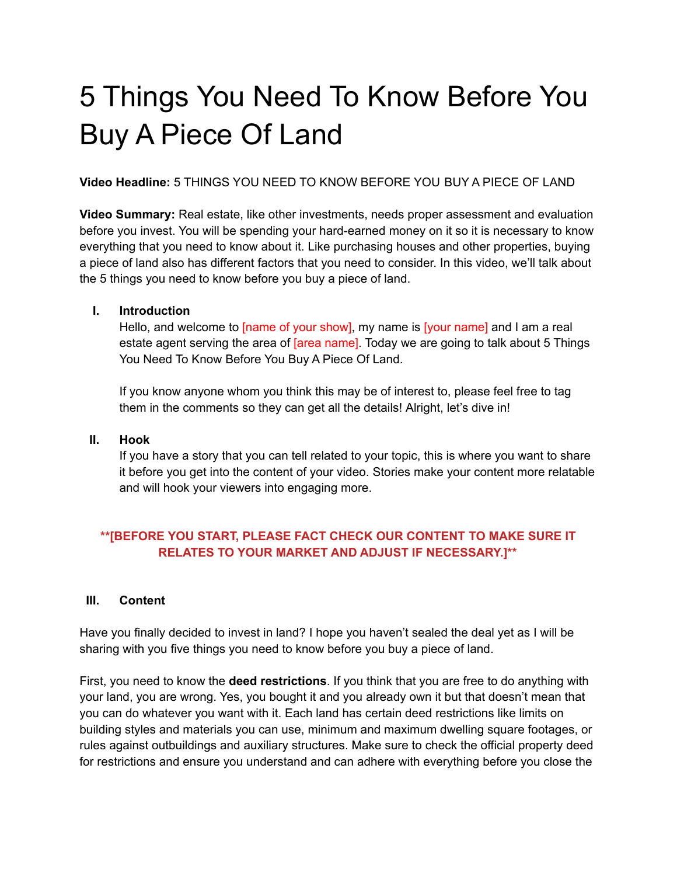# 5 Things You Need To Know Before You Buy A Piece Of Land

**Video Headline:** 5 THINGS YOU NEED TO KNOW BEFORE YOU BUY A PIECE OF LAND

**Video Summary:** Real estate, like other investments, needs proper assessment and evaluation before you invest. You will be spending your hard-earned money on it so it is necessary to know everything that you need to know about it. Like purchasing houses and other properties, buying a piece of land also has different factors that you need to consider. In this video, we'll talk about the 5 things you need to know before you buy a piece of land.

# **I. Introduction**

Hello, and welcome to [name of your show], my name is [your name] and I am a real estate agent serving the area of **[area name]**. Today we are going to talk about 5 Things You Need To Know Before You Buy A Piece Of Land.

If you know anyone whom you think this may be of interest to, please feel free to tag them in the comments so they can get all the details! Alright, let's dive in!

#### **II. Hook**

If you have a story that you can tell related to your topic, this is where you want to share it before you get into the content of your video. Stories make your content more relatable and will hook your viewers into engaging more.

# **\*\*[BEFORE YOU START, PLEASE FACT CHECK OUR CONTENT TO MAKE SURE IT RELATES TO YOUR MARKET AND ADJUST IF NECESSARY.]\*\***

#### **III. Content**

Have you finally decided to invest in land? I hope you haven't sealed the deal yet as I will be sharing with you five things you need to know before you buy a piece of land.

First, you need to know the **deed restrictions**. If you think that you are free to do anything with your land, you are wrong. Yes, you bought it and you already own it but that doesn't mean that you can do whatever you want with it. Each land has certain deed restrictions like limits on building styles and materials you can use, minimum and maximum dwelling square footages, or rules against outbuildings and auxiliary structures. Make sure to check the official property deed for restrictions and ensure you understand and can adhere with everything before you close the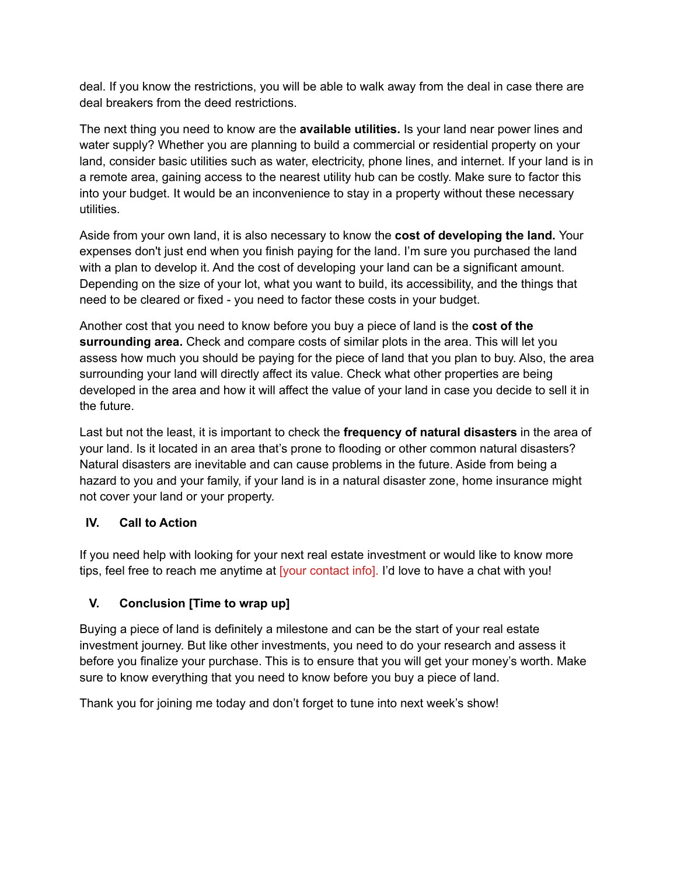deal. If you know the restrictions, you will be able to walk away from the deal in case there are deal breakers from the deed restrictions.

The next thing you need to know are the **available utilities.** Is your land near power lines and water supply? Whether you are planning to build a commercial or residential property on your land, consider basic utilities such as water, electricity, phone lines, and internet. If your land is in a remote area, gaining access to the nearest utility hub can be costly. Make sure to factor this into your budget. It would be an inconvenience to stay in a property without these necessary utilities.

Aside from your own land, it is also necessary to know the **cost of developing the land.** Your expenses don't just end when you finish paying for the land. I'm sure you purchased the land with a plan to develop it. And the cost of developing your land can be a significant amount. Depending on the size of your lot, what you want to build, its accessibility, and the things that need to be cleared or fixed - you need to factor these costs in your budget.

Another cost that you need to know before you buy a piece of land is the **cost of the surrounding area.** Check and compare costs of similar plots in the area. This will let you assess how much you should be paying for the piece of land that you plan to buy. Also, the area surrounding your land will directly affect its value. Check what other properties are being developed in the area and how it will affect the value of your land in case you decide to sell it in the future.

Last but not the least, it is important to check the **frequency of natural disasters** in the area of your land. Is it located in an area that's prone to flooding or other common natural disasters? Natural disasters are inevitable and can cause problems in the future. Aside from being a hazard to you and your family, if your land is in a natural disaster zone, home insurance might not cover your land or your property.

# **IV. Call to Action**

If you need help with looking for your next real estate investment or would like to know more tips, feel free to reach me anytime at [your contact info]. I'd love to have a chat with you!

# **V. Conclusion [Time to wrap up]**

Buying a piece of land is definitely a milestone and can be the start of your real estate investment journey. But like other investments, you need to do your research and assess it before you finalize your purchase. This is to ensure that you will get your money's worth. Make sure to know everything that you need to know before you buy a piece of land.

Thank you for joining me today and don't forget to tune into next week's show!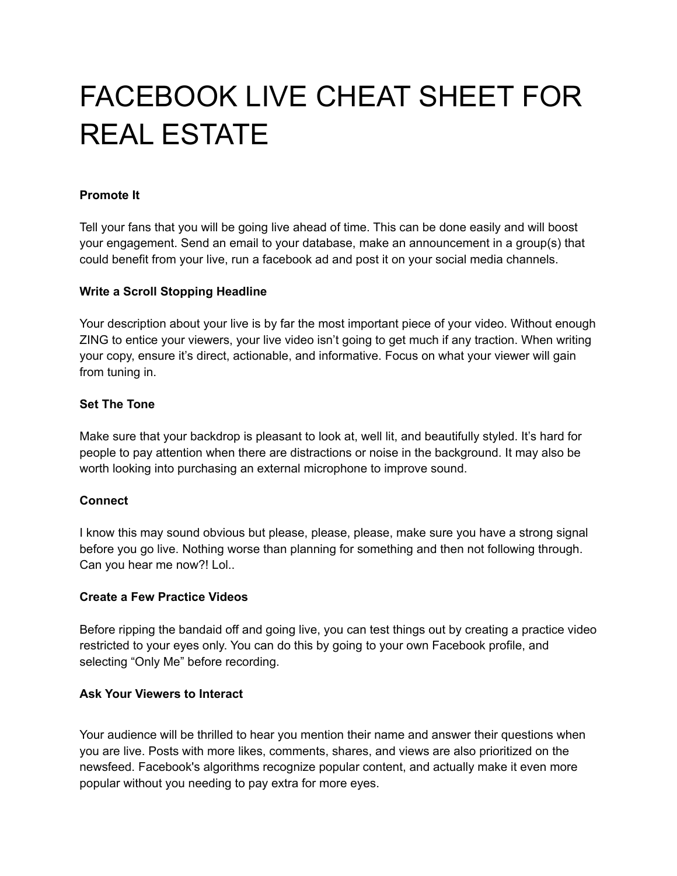# FACEBOOK LIVE CHEAT SHEET FOR REAL ESTATE

# **Promote It**

Tell your fans that you will be going live ahead of time. This can be done easily and will boost your engagement. Send an email to your database, make an announcement in a group(s) that could benefit from your live, run a facebook ad and post it on your social media channels.

# **Write a Scroll Stopping Headline**

Your description about your live is by far the most important piece of your video. Without enough ZING to entice your viewers, your live video isn't going to get much if any traction. When writing your copy, ensure it's direct, actionable, and informative. Focus on what your viewer will gain from tuning in.

# **Set The Tone**

Make sure that your backdrop is pleasant to look at, well lit, and beautifully styled. It's hard for people to pay attention when there are distractions or noise in the background. It may also be worth looking into purchasing an external microphone to improve sound.

# **Connect**

I know this may sound obvious but please, please, please, make sure you have a strong signal before you go live. Nothing worse than planning for something and then not following through. Can you hear me now?! Lol..

#### **Create a Few Practice Videos**

Before ripping the bandaid off and going live, you can test things out by creating a practice video restricted to your eyes only. You can do this by going to your own Facebook profile, and selecting "Only Me" before recording.

# **Ask Your Viewers to Interact**

Your audience will be thrilled to hear you mention their name and answer their questions when you are live. Posts with more likes, comments, shares, and views are also prioritized on the newsfeed. Facebook's algorithms recognize popular content, and actually make it even more popular without you needing to pay extra for more eyes.